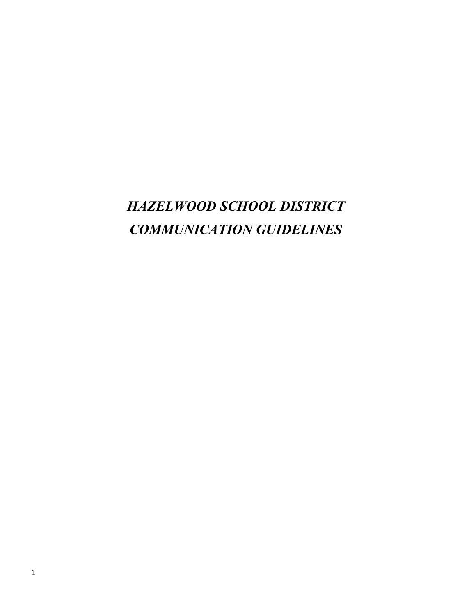# *HAZELWOOD SCHOOL DISTRICT COMMUNICATION GUIDELINES*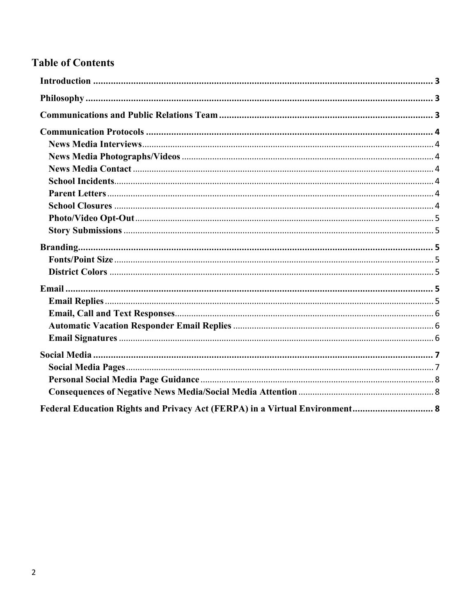# **Table of Contents**

| Federal Education Rights and Privacy Act (FERPA) in a Virtual Environment 8 |  |
|-----------------------------------------------------------------------------|--|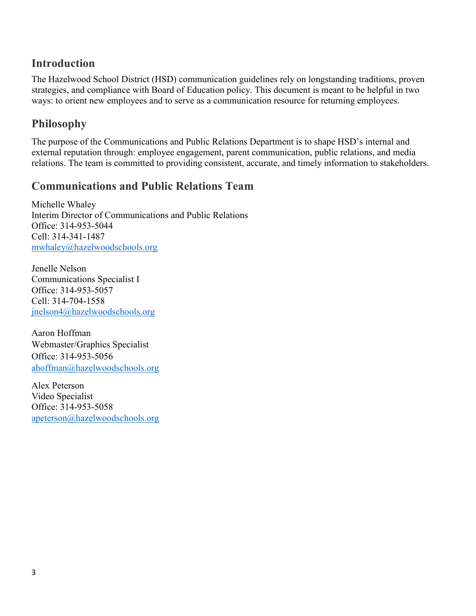# <span id="page-2-0"></span>**Introduction**

The Hazelwood School District (HSD) communication guidelines rely on longstanding traditions, proven strategies, and compliance with Board of Education policy. This document is meant to be helpful in two ways: to orient new employees and to serve as a communication resource for returning employees.

# <span id="page-2-1"></span>**Philosophy**

The purpose of the Communications and Public Relations Department is to shape HSD's internal and external reputation through: employee engagement, parent communication, public relations, and media relations. The team is committed to providing consistent, accurate, and timely information to stakeholders.

## <span id="page-2-2"></span>**Communications and Public Relations Team**

Michelle Whaley Interim Director of Communications and Public Relations Office: 314-953-5044 Cell: 314-341-1487 [mwhaley@hazelwoodschools.org](mailto:mwhaley@hazelwoodschools.org)

Jenelle Nelson Communications Specialist I Office: 314-953-5057 Cell: 314-704-1558 [jnelson4@hazelwoodschools.org](mailto:jnelson4@hazelwoodschools.org)

Aaron Hoffman Webmaster/Graphics Specialist Office: 314-953-5056 [ahoffman@hazelwoodschools.org](mailto:ahoffman@hazelwoodschools.org)

<span id="page-2-3"></span>Alex Peterson Video Specialist Office: 314-953-5058 [apeterson@hazelwoodschools.org](mailto:apeterson@hazelwoodschools.org)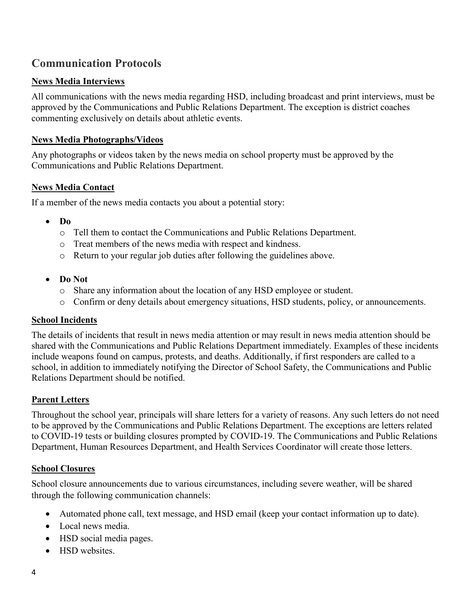# **Communication Protocols**

#### <span id="page-3-0"></span>**News Media Interviews**

All communications with the news media regarding HSD, including broadcast and print interviews, must be approved by the Communications and Public Relations Department. The exception is district coaches commenting exclusively on details about athletic events.

#### <span id="page-3-1"></span>**News Media Photographs/Videos**

Any photographs or videos taken by the news media on school property must be approved by the Communications and Public Relations Department.

#### <span id="page-3-2"></span>**News Media Contact**

If a member of the news media contacts you about a potential story:

- **Do**
	- o Tell them to contact the Communications and Public Relations Department.
	- o Treat members of the news media with respect and kindness.
	- o Return to your regular job duties after following the guidelines above.
- **Do Not**
	- o Share any information about the location of any HSD employee or student.
	- o Confirm or deny details about emergency situations, HSD students, policy, or announcements.

#### <span id="page-3-3"></span>**School Incidents**

The details of incidents that result in news media attention or may result in news media attention should be shared with the Communications and Public Relations Department immediately. Examples of these incidents include weapons found on campus, protests, and deaths. Additionally, if first responders are called to a school, in addition to immediately notifying the Director of School Safety, the Communications and Public Relations Department should be notified.

#### <span id="page-3-4"></span>**Parent Letters**

Throughout the school year, principals will share letters for a variety of reasons. Any such letters do not need to be approved by the Communications and Public Relations Department. The exceptions are letters related to COVID-19 tests or building closures prompted by COVID-19. The Communications and Public Relations Department, Human Resources Department, and Health Services Coordinator will create those letters.

#### <span id="page-3-5"></span>**School Closures**

School closure announcements due to various circumstances, including severe weather, will be shared through the following communication channels:

- Automated phone call, text message, and HSD email (keep your contact information up to date).
- Local news media.
- HSD social media pages.
- HSD websites.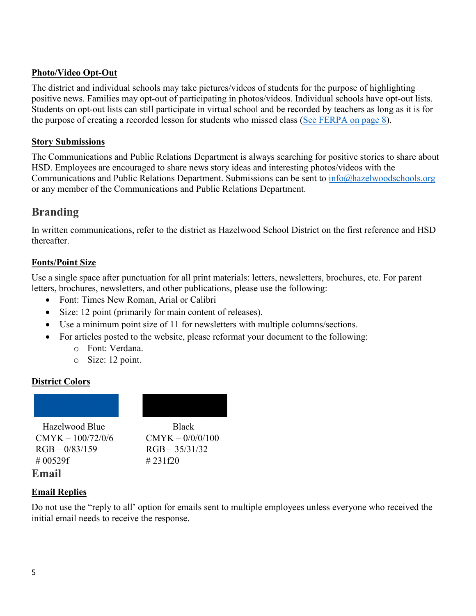#### <span id="page-4-0"></span>**Photo/Video Opt-Out**

The district and individual schools may take pictures/videos of students for the purpose of highlighting positive news. Families may opt-out of participating in photos/videos. Individual schools have opt-out lists. Students on opt-out lists can still participate in virtual school and be recorded by teachers as long as it is for the purpose of creating a recorded lesson for students who missed class [\(See FERPA on page 8\)](#page-7-2).

#### <span id="page-4-1"></span>**Story Submissions**

The Communications and Public Relations Department is always searching for positive stories to share about HSD. Employees are encouraged to share news story ideas and interesting photos/videos with the Communications and Public Relations Department. Submissions can be sent to [info@hazelwoodschools.org](mailto:info@hazelwoodschools.org) or any member of the Communications and Public Relations Department.

### <span id="page-4-2"></span>**Branding**

In written communications, refer to the district as Hazelwood School District on the first reference and HSD thereafter.

#### <span id="page-4-3"></span>**Fonts/Point Size**

Use a single space after punctuation for all print materials: letters, newsletters, brochures, etc. For parent letters, brochures, newsletters, and other publications, please use the following:

- Font: Times New Roman, Arial or Calibri
- Size: 12 point (primarily for main content of releases).
- Use a minimum point size of 11 for newsletters with multiple columns/sections.
- For articles posted to the website, please reformat your document to the following:
	- o Font: Verdana.
	- o Size: 12 point.

#### <span id="page-4-4"></span>**District Colors**

Hazelwood Blue Black  $CMYK - 100/72/0/6$   $CMYK - 0/0/0/100$  $RGB - 0/83/159$   $RGB - 35/31/32$  $\#$  00529f  $\#$  231f20



# <span id="page-4-6"></span>**Email Replies**

<span id="page-4-5"></span>**Email**

Do not use the "reply to all' option for emails sent to multiple employees unless everyone who received the initial email needs to receive the response.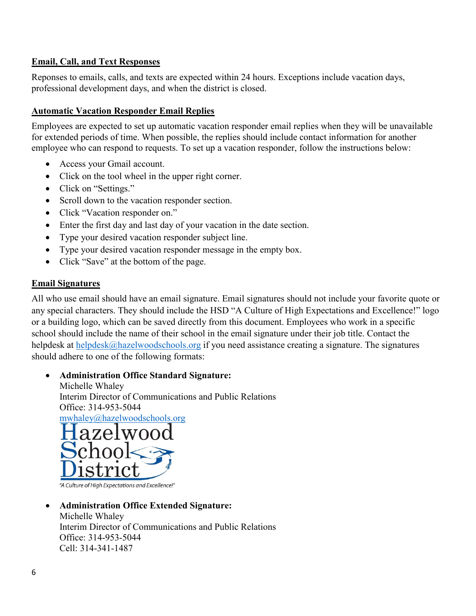#### <span id="page-5-0"></span>**Email, Call, and Text Responses**

Reponses to emails, calls, and texts are expected within 24 hours. Exceptions include vacation days, professional development days, and when the district is closed.

#### <span id="page-5-1"></span>**Automatic Vacation Responder Email Replies**

Employees are expected to set up automatic vacation responder email replies when they will be unavailable for extended periods of time. When possible, the replies should include contact information for another employee who can respond to requests. To set up a vacation responder, follow the instructions below:

- Access your Gmail account.
- Click on the tool wheel in the upper right corner.
- Click on "Settings."
- Scroll down to the vacation responder section.
- Click "Vacation responder on."
- Enter the first day and last day of your vacation in the date section.
- Type your desired vacation responder subject line.
- Type your desired vacation responder message in the empty box.
- Click "Save" at the bottom of the page.

#### <span id="page-5-2"></span>**Email Signatures**

All who use email should have an email signature. Email signatures should not include your favorite quote or any special characters. They should include the HSD "A Culture of High Expectations and Excellence!" logo or a building logo, which can be saved directly from this document. Employees who work in a specific school should include the name of their school in the email signature under their job title. Contact the helpdesk at [helpdesk@hazelwoodschools.org](mailto:helpdesk@hazelwoodschools.org) if you need assistance creating a signature. The signatures should adhere to one of the following formats:

#### • **Administration Office Standard Signature:** Michelle Whaley Interim Director of Communications and Public Relations Office: 314-953-5044 [mwhaley@hazelwoodschools.org](mailto:mwhaley@hazelwoodschools.org)



"A Culture of High Expectations and Excellence!"

#### • **Administration Office Extended Signature:**

Michelle Whaley Interim Director of Communications and Public Relations Office: 314-953-5044 Cell: 314-341-1487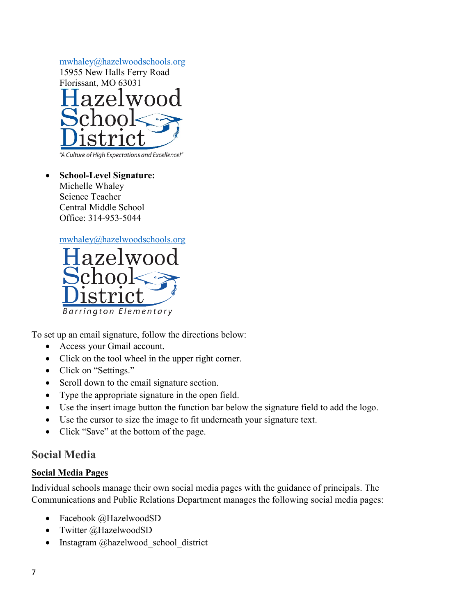

"A Culture of High Expectations and Excellence!"

• **School-Level Signature:** Michelle Whaley Science Teacher Central Middle School Office: 314-953-5044

[mwhaley@hazelwoodschools.org](mailto:mwhaley@hazelwoodschools.org)



To set up an email signature, follow the directions below:

- Access your Gmail account.
- Click on the tool wheel in the upper right corner.
- Click on "Settings."
- Scroll down to the email signature section.
- Type the appropriate signature in the open field.
- Use the insert image button the function bar below the signature field to add the logo.
- Use the cursor to size the image to fit underneath your signature text.
- Click "Save" at the bottom of the page.

## <span id="page-6-0"></span>**Social Media**

#### <span id="page-6-1"></span>**Social Media Pages**

Individual schools manage their own social media pages with the guidance of principals. The Communications and Public Relations Department manages the following social media pages:

- Facebook @HazelwoodSD
- Twitter @HazelwoodSD
- Instagram @hazelwood school district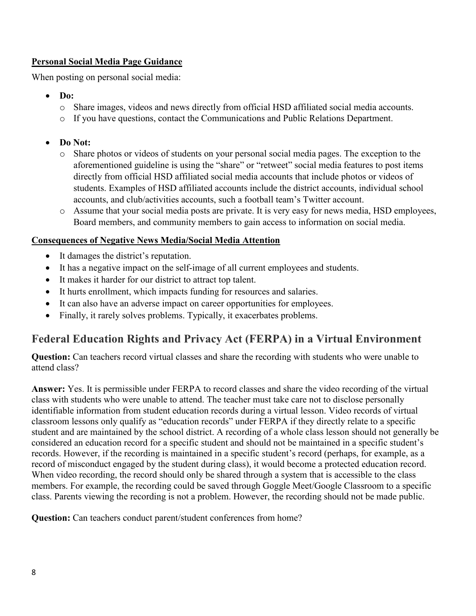#### <span id="page-7-0"></span>**Personal Social Media Page Guidance**

When posting on personal social media:

- **Do:**
	- o Share images, videos and news directly from official HSD affiliated social media accounts.
	- o If you have questions, contact the Communications and Public Relations Department.
- **Do Not:**
	- o Share photos or videos of students on your personal social media pages. The exception to the aforementioned guideline is using the "share" or "retweet" social media features to post items directly from official HSD affiliated social media accounts that include photos or videos of students. Examples of HSD affiliated accounts include the district accounts, individual school accounts, and club/activities accounts, such a football team's Twitter account.
	- o Assume that your social media posts are private. It is very easy for news media, HSD employees, Board members, and community members to gain access to information on social media.

#### <span id="page-7-1"></span>**Consequences of Negative News Media/Social Media Attention**

- It damages the district's reputation.
- It has a negative impact on the self-image of all current employees and students.
- It makes it harder for our district to attract top talent.
- It hurts enrollment, which impacts funding for resources and salaries.
- It can also have an adverse impact on career opportunities for employees.
- Finally, it rarely solves problems. Typically, it exacerbates problems.

## <span id="page-7-2"></span>**Federal Education Rights and Privacy Act (FERPA) in a Virtual Environment**

**Question:** Can teachers record virtual classes and share the recording with students who were unable to attend class?

**Answer:** Yes. It is permissible under FERPA to record classes and share the video recording of the virtual class with students who were unable to attend. The teacher must take care not to disclose personally identifiable information from student education records during a virtual lesson. Video records of virtual classroom lessons only qualify as "education records" under FERPA if they directly relate to a specific student and are maintained by the school district. A recording of a whole class lesson should not generally be considered an education record for a specific student and should not be maintained in a specific student's records. However, if the recording is maintained in a specific student's record (perhaps, for example, as a record of misconduct engaged by the student during class), it would become a protected education record. When video recording, the record should only be shared through a system that is accessible to the class members. For example, the recording could be saved through Goggle Meet/Google Classroom to a specific class. Parents viewing the recording is not a problem. However, the recording should not be made public.

**Question:** Can teachers conduct parent/student conferences from home?